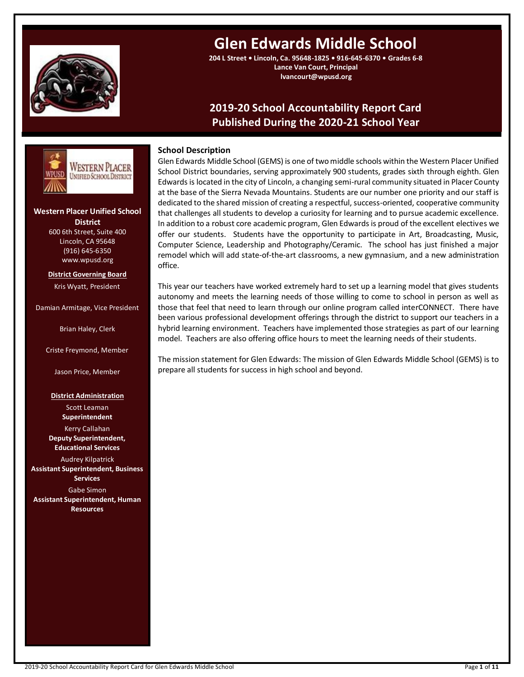

# **Glen Edwards Middle School**

**204 L Street • Lincoln, Ca. 95648-1825 • 916-645-6370 • Grades 6-8 Lance Van Court, Principal lvancourt@wpusd.org**

# **2019-20 School Accountability Report Card Published During the 2020-21 School Year**



# **Western Placer Unified School District** 600 6th Street, Suite 400

Lincoln, CA 95648 (916) 645-6350 www.wpusd.org

**District Governing Board** Kris Wyatt, President

Damian Armitage, Vice President

Brian Haley, Clerk

Criste Freymond, Member

Jason Price, Member

# **District Administration**

Scott Leaman **Superintendent**

Kerry Callahan **Deputy Superintendent, Educational Services**

Audrey Kilpatrick **Assistant Superintendent, Business Services** Gabe Simon **Assistant Superintendent, Human Resources**

# **School Description**

Glen Edwards Middle School (GEMS) is one of two middle schools within the Western Placer Unified School District boundaries, serving approximately 900 students, grades sixth through eighth. Glen Edwards is located in the city of Lincoln, a changing semi-rural community situated in Placer County at the base of the Sierra Nevada Mountains. Students are our number one priority and our staff is dedicated to the shared mission of creating a respectful, success-oriented, cooperative community that challenges all students to develop a curiosity for learning and to pursue academic excellence. In addition to a robust core academic program, Glen Edwards is proud of the excellent electives we offer our students. Students have the opportunity to participate in Art, Broadcasting, Music, Computer Science, Leadership and Photography/Ceramic. The school has just finished a major remodel which will add state-of-the-art classrooms, a new gymnasium, and a new administration office.

This year our teachers have worked extremely hard to set up a learning model that gives students autonomy and meets the learning needs of those willing to come to school in person as well as those that feel that need to learn through our online program called interCONNECT. There have been various professional development offerings through the district to support our teachers in a hybrid learning environment. Teachers have implemented those strategies as part of our learning model. Teachers are also offering office hours to meet the learning needs of their students.

The mission statement for Glen Edwards: The mission of Glen Edwards Middle School (GEMS) is to prepare all students for success in high school and beyond.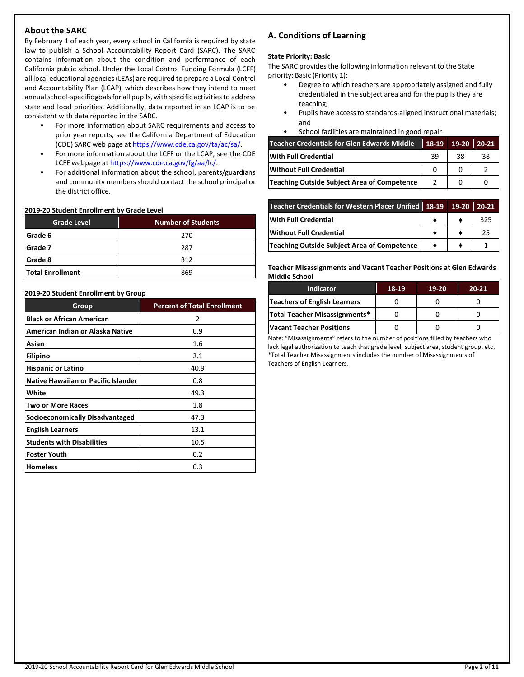# **About the SARC**

By February 1 of each year, every school in California is required by state law to publish a School Accountability Report Card (SARC). The SARC contains information about the condition and performance of each California public school. Under the Local Control Funding Formula (LCFF) all local educational agencies (LEAs) are required to prepare a Local Control and Accountability Plan (LCAP), which describes how they intend to meet annual school-specific goals for all pupils, with specific activities to address state and local priorities. Additionally, data reported in an LCAP is to be consistent with data reported in the SARC.

- For more information about SARC requirements and access to prior year reports, see the California Department of Education (CDE) SARC web page a[t https://www.cde.ca.gov/ta/ac/sa/.](https://www.cde.ca.gov/ta/ac/sa/)
- For more information about the LCFF or the LCAP, see the CDE LCFF webpage a[t https://www.cde.ca.gov/fg/aa/lc/.](https://www.cde.ca.gov/fg/aa/lc/)
- For additional information about the school, parents/guardians and community members should contact the school principal or the district office.

#### **2019-20 Student Enrollment by Grade Level**

| <b>Grade Level</b>      | <b>Number of Students</b> |
|-------------------------|---------------------------|
| Grade 6                 | 270                       |
| Grade 7                 | 287                       |
| Grade 8                 | 312                       |
| <b>Total Enrollment</b> | 869                       |

#### **2019-20 Student Enrollment by Group**

| Group                                  | <b>Percent of Total Enrollment</b> |
|----------------------------------------|------------------------------------|
| <b>Black or African American</b>       | 2                                  |
| American Indian or Alaska Native       | 0.9                                |
| Asian                                  | 1.6                                |
| <b>Filipino</b>                        | 2.1                                |
| <b>Hispanic or Latino</b>              | 40.9                               |
| Native Hawaiian or Pacific Islander    | 0.8                                |
| White                                  | 49.3                               |
| <b>Two or More Races</b>               | 1.8                                |
| <b>Socioeconomically Disadvantaged</b> | 47.3                               |
| <b>English Learners</b>                | 13.1                               |
| <b>Students with Disabilities</b>      | 10.5                               |
| <b>Foster Youth</b>                    | 0.2                                |
| <b>Homeless</b>                        | 0.3                                |

# **A. Conditions of Learning**

#### **State Priority: Basic**

The SARC provides the following information relevant to the State priority: Basic (Priority 1):

- Degree to which teachers are appropriately assigned and fully credentialed in the subject area and for the pupils they are teaching;
- Pupils have access to standards-aligned instructional materials; and
- School facilities are maintained in good repair

| Teacher Credentials for Glen Edwards Middle | 18-19 | 19-20 | $20-21$ |
|---------------------------------------------|-------|-------|---------|
| With Full Credential                        | 39    | 38    | 38      |
| Without Full Credential                     |       |       |         |
| Teaching Outside Subject Area of Competence |       |       |         |

| Teacher Credentials for Western Placer Unified 18-19 19-20 |  | 20-21 |
|------------------------------------------------------------|--|-------|
| With Full Credential                                       |  | 325   |
| <b>Without Full Credential</b>                             |  | 25    |
| Teaching Outside Subject Area of Competence                |  |       |

**Teacher Misassignments and Vacant Teacher Positions at Glen Edwards Middle School**

| <b>Indicator</b>                    | 18-19 | $19-20$ | $20 - 21$ |
|-------------------------------------|-------|---------|-----------|
| <b>Teachers of English Learners</b> |       |         |           |
| Total Teacher Misassignments*       |       |         |           |
| Vacant Teacher Positions            |       |         |           |

Note: "Misassignments" refers to the number of positions filled by teachers who lack legal authorization to teach that grade level, subject area, student group, etc. \*Total Teacher Misassignments includes the number of Misassignments of Teachers of English Learners.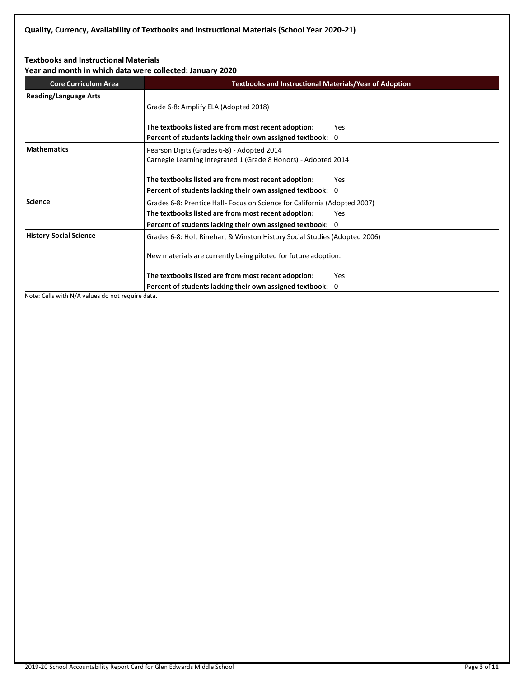# **Textbooks and Instructional Materials**

**Year and month in which data were collected: January 2020**

| Tear and month in which data were collected. January 2020 |                                                                           |     |  |  |  |
|-----------------------------------------------------------|---------------------------------------------------------------------------|-----|--|--|--|
| <b>Core Curriculum Area</b>                               | <b>Textbooks and Instructional Materials/Year of Adoption</b>             |     |  |  |  |
| <b>Reading/Language Arts</b>                              |                                                                           |     |  |  |  |
|                                                           | Grade 6-8: Amplify ELA (Adopted 2018)                                     |     |  |  |  |
|                                                           |                                                                           |     |  |  |  |
|                                                           | The textbooks listed are from most recent adoption:                       | Yes |  |  |  |
|                                                           | Percent of students lacking their own assigned textbook: 0                |     |  |  |  |
| <b>Mathematics</b>                                        | Pearson Digits (Grades 6-8) - Adopted 2014                                |     |  |  |  |
|                                                           | Carnegie Learning Integrated 1 (Grade 8 Honors) - Adopted 2014            |     |  |  |  |
|                                                           |                                                                           |     |  |  |  |
|                                                           | The textbooks listed are from most recent adoption:                       | Yes |  |  |  |
|                                                           | Percent of students lacking their own assigned textbook: 0                |     |  |  |  |
| <b>Science</b>                                            | Grades 6-8: Prentice Hall-Focus on Science for California (Adopted 2007)  |     |  |  |  |
|                                                           | The textbooks listed are from most recent adoption:                       | Yes |  |  |  |
|                                                           | Percent of students lacking their own assigned textbook: 0                |     |  |  |  |
| <b>History-Social Science</b>                             | Grades 6-8: Holt Rinehart & Winston History Social Studies (Adopted 2006) |     |  |  |  |
|                                                           |                                                                           |     |  |  |  |
|                                                           | New materials are currently being piloted for future adoption.            |     |  |  |  |
|                                                           | The textbooks listed are from most recent adoption:                       | Yes |  |  |  |
|                                                           | Percent of students lacking their own assigned textbook: 0                |     |  |  |  |

Note: Cells with N/A values do not require data.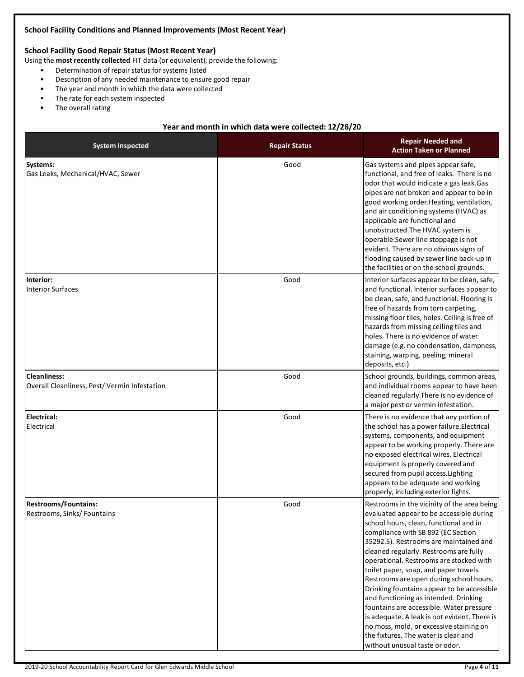### **School Facility Conditions and Planned Improvements (Most Recent Year)**

# **School Facility Good Repair Status (Most Recent Year)**

Using the **most recently collected** FIT data (or equivalent), provide the following:

- Determination of repair status for systems listed
- Description of any needed maintenance to ensure good repair
- The year and month in which the data were collected
- The rate for each system inspected
- The overall rating

# **Year and month in which data were collected: 12/28/20**

| <b>System Inspected</b>                                             | <b>Repair Status</b> | <b>Repair Needed and</b><br><b>Action Taken or Planned</b>                                                                                                                                                                                                                                                                                                                                                                                                                                                                                                                                                                                                                                         |
|---------------------------------------------------------------------|----------------------|----------------------------------------------------------------------------------------------------------------------------------------------------------------------------------------------------------------------------------------------------------------------------------------------------------------------------------------------------------------------------------------------------------------------------------------------------------------------------------------------------------------------------------------------------------------------------------------------------------------------------------------------------------------------------------------------------|
| Systems:<br>Gas Leaks, Mechanical/HVAC, Sewer                       | Good                 | Gas systems and pipes appear safe,<br>functional, and free of leaks. There is no<br>odor that would indicate a gas leak. Gas<br>pipes are not broken and appear to be in<br>good working order. Heating, ventilation,<br>and air conditioning systems (HVAC) as<br>applicable are functional and<br>unobstructed. The HVAC system is<br>operable.Sewer line stoppage is not<br>evident. There are no obvious signs of<br>flooding caused by sewer line back-up in<br>the facilities or on the school grounds.                                                                                                                                                                                      |
| Interior:<br><b>Interior Surfaces</b>                               | Good                 | Interior surfaces appear to be clean, safe,<br>and functional. Interior surfaces appear to<br>be clean, safe, and functional. Flooring is<br>free of hazards from torn carpeting,<br>missing floor tiles, holes. Ceiling is free of<br>hazards from missing ceiling tiles and<br>holes. There is no evidence of water<br>damage (e.g. no condensation, dampness,<br>staining, warping, peeling, mineral<br>deposits, etc.)                                                                                                                                                                                                                                                                         |
| <b>Cleanliness:</b><br>Overall Cleanliness, Pest/Vermin Infestation | Good                 | School grounds, buildings, common areas,<br>and individual rooms appear to have been<br>cleaned regularly. There is no evidence of<br>a major pest or vermin infestation.                                                                                                                                                                                                                                                                                                                                                                                                                                                                                                                          |
| <b>Electrical:</b><br>Electrical                                    | Good                 | There is no evidence that any portion of<br>the school has a power failure. Electrical<br>systems, components, and equipment<br>appear to be working properly. There are<br>no exposed electrical wires. Electrical<br>equipment is properly covered and<br>secured from pupil access. Lighting<br>appears to be adequate and working<br>properly, including exterior lights.                                                                                                                                                                                                                                                                                                                      |
| <b>Restrooms/Fountains:</b><br>Restrooms, Sinks/Fountains           | Good                 | Restrooms in the vicinity of the area being<br>evaluated appear to be accessible during<br>school hours, clean, functional and in<br>compliance with SB 892 (EC Section<br>35292.5). Restrooms are maintained and<br>cleaned regularly. Restrooms are fully<br>operational. Restrooms are stocked with<br>toilet paper, soap, and paper towels.<br>Restrooms are open during school hours.<br>Drinking fountains appear to be accessible<br>and functioning as intended. Drinking<br>fountains are accessible. Water pressure<br>is adequate. A leak is not evident. There is<br>no moss, mold, or excessive staining on<br>the fixtures. The water is clear and<br>without unusual taste or odor. |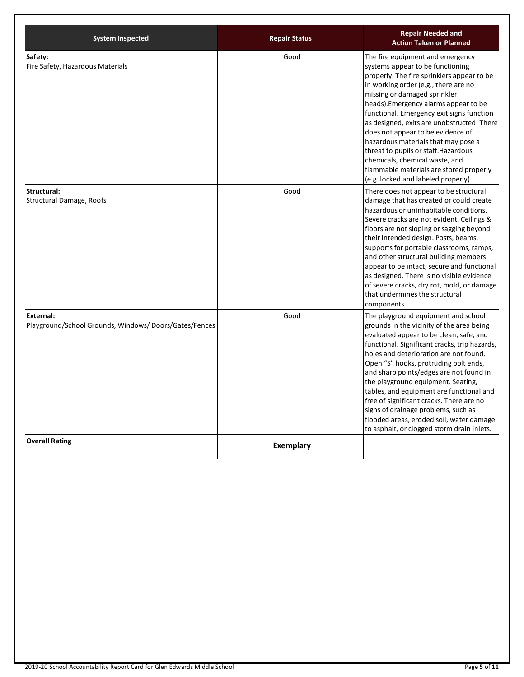| <b>System Inspected</b>                                                   | <b>Repair Status</b> | <b>Repair Needed and</b><br><b>Action Taken or Planned</b>                                                                                                                                                                                                                                                                                                                                                                                                                                                                                                                |
|---------------------------------------------------------------------------|----------------------|---------------------------------------------------------------------------------------------------------------------------------------------------------------------------------------------------------------------------------------------------------------------------------------------------------------------------------------------------------------------------------------------------------------------------------------------------------------------------------------------------------------------------------------------------------------------------|
| Safety:<br>Fire Safety, Hazardous Materials                               | Good                 | The fire equipment and emergency<br>systems appear to be functioning<br>properly. The fire sprinklers appear to be<br>in working order (e.g., there are no<br>missing or damaged sprinkler<br>heads). Emergency alarms appear to be<br>functional. Emergency exit signs function<br>as designed, exits are unobstructed. There<br>does not appear to be evidence of<br>hazardous materials that may pose a<br>threat to pupils or staff. Hazardous<br>chemicals, chemical waste, and<br>flammable materials are stored properly<br>(e.g. locked and labeled properly).    |
| Structural:<br>Structural Damage, Roofs                                   | Good                 | There does not appear to be structural<br>damage that has created or could create<br>hazardous or uninhabitable conditions.<br>Severe cracks are not evident. Ceilings &<br>floors are not sloping or sagging beyond<br>their intended design. Posts, beams,<br>supports for portable classrooms, ramps,<br>and other structural building members<br>appear to be intact, secure and functional<br>as designed. There is no visible evidence<br>of severe cracks, dry rot, mold, or damage<br>that undermines the structural<br>components.                               |
| <b>External:</b><br>Playground/School Grounds, Windows/Doors/Gates/Fences | Good                 | The playground equipment and school<br>grounds in the vicinity of the area being<br>evaluated appear to be clean, safe, and<br>functional. Significant cracks, trip hazards,<br>holes and deterioration are not found.<br>Open "S" hooks, protruding bolt ends,<br>and sharp points/edges are not found in<br>the playground equipment. Seating,<br>tables, and equipment are functional and<br>free of significant cracks. There are no<br>signs of drainage problems, such as<br>flooded areas, eroded soil, water damage<br>to asphalt, or clogged storm drain inlets. |
| <b>Overall Rating</b>                                                     | <b>Exemplary</b>     |                                                                                                                                                                                                                                                                                                                                                                                                                                                                                                                                                                           |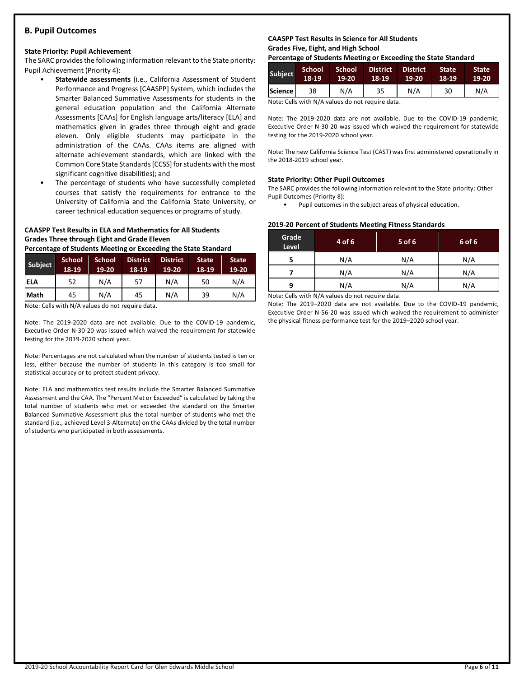## **B. Pupil Outcomes**

#### **State Priority: Pupil Achievement**

The SARC provides the following information relevant to the State priority: Pupil Achievement (Priority 4):

- **Statewide assessments** (i.e., California Assessment of Student Performance and Progress [CAASPP] System, which includes the Smarter Balanced Summative Assessments for students in the general education population and the California Alternate Assessments [CAAs] for English language arts/literacy [ELA] and mathematics given in grades three through eight and grade eleven. Only eligible students may participate in the administration of the CAAs. CAAs items are aligned with alternate achievement standards, which are linked with the Common Core State Standards [CCSS] for students with the most significant cognitive disabilities); and
- The percentage of students who have successfully completed courses that satisfy the requirements for entrance to the University of California and the California State University, or career technical education sequences or programs of study.

# **CAASPP Test Results in ELA and Mathematics for All Students Grades Three through Eight and Grade Eleven**

**Percentage of Students Meeting or Exceeding the State Standard**

| Subject     | <b>School</b><br>18-19 | <b>School</b><br>19-20 | <b>District</b><br>18-19 | <b>District</b><br>$19-20$ | <b>State</b><br>18-19 | <b>State</b><br>19-20 |
|-------------|------------------------|------------------------|--------------------------|----------------------------|-----------------------|-----------------------|
| <b>ELA</b>  | 52                     | N/A                    | 57                       | N/A                        | 50                    | N/A                   |
| <b>Math</b> | 45                     | N/A                    | 45                       | N/A                        | 39                    | N/A                   |

Note: Cells with N/A values do not require data.

Note: The 2019-2020 data are not available. Due to the COVID-19 pandemic, Executive Order N-30-20 was issued which waived the requirement for statewide testing for the 2019-2020 school year.

Note: Percentages are not calculated when the number of students tested is ten or less, either because the number of students in this category is too small for statistical accuracy or to protect student privacy.

Note: ELA and mathematics test results include the Smarter Balanced Summative Assessment and the CAA. The "Percent Met or Exceeded" is calculated by taking the total number of students who met or exceeded the standard on the Smarter Balanced Summative Assessment plus the total number of students who met the standard (i.e., achieved Level 3-Alternate) on the CAAs divided by the total number of students who participated in both assessments.

#### **CAASPP Test Results in Science for All Students Grades Five, Eight, and High School**

**Percentage of Students Meeting or Exceeding the State Standard**

| Subject          | 'School<br>18-19 | School<br>19-20 | <b>District</b><br>18-19 | <b>District</b><br>19-20 | <b>State</b><br>18-19 | <b>State</b><br>$19-20$ |
|------------------|------------------|-----------------|--------------------------|--------------------------|-----------------------|-------------------------|
| <b>Science</b> l | 38               | N/A             | 35                       | N/A                      | 30                    | N/A                     |

Note: Cells with N/A values do not require data.

Note: The 2019-2020 data are not available. Due to the COVID-19 pandemic, Executive Order N-30-20 was issued which waived the requirement for statewide testing for the 2019-2020 school year.

Note: The new California Science Test (CAST) was first administered operationally in the 2018-2019 school year.

#### **State Priority: Other Pupil Outcomes**

The SARC provides the following information relevant to the State priority: Other Pupil Outcomes (Priority 8):

Pupil outcomes in the subject areas of physical education.

#### **2019-20 Percent of Students Meeting Fitness Standards**

| Grade<br>Level | 4 of 6 | $5$ of 6 | 6 of 6 |
|----------------|--------|----------|--------|
|                | N/A    | N/A      | N/A    |
| N/A            |        | N/A      | N/A    |
| q              | N/A    | N/A      | N/A    |

Note: Cells with N/A values do not require data.

Note: The 2019–2020 data are not available. Due to the COVID-19 pandemic, Executive Order N-56-20 was issued which waived the requirement to administer the physical fitness performance test for the 2019–2020 school year.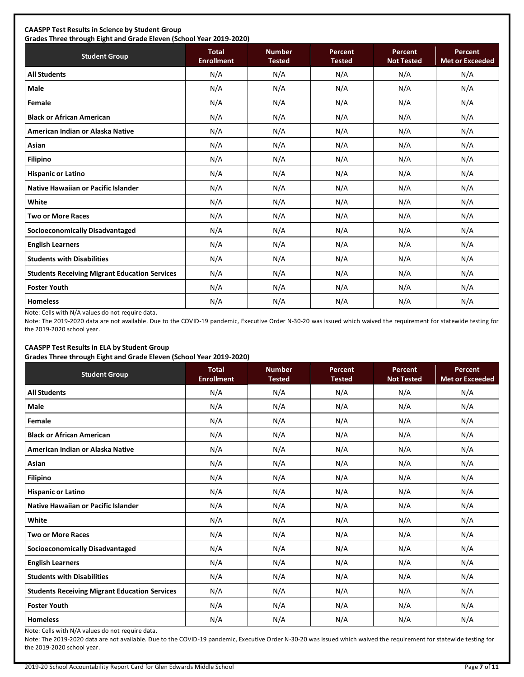# **CAASPP Test Results in Science by Student Group**

**Grades Three through Eight and Grade Eleven (School Year 2019-2020) Student Group Total Total Enrollment Number Tested Percent Tested Percent Not Tested Percent Met or Exceeded All Students** N/A N/A N/A N/A N/A **Male** N/A N/A N/A N/A N/A **Female** N/A N/A N/A N/A N/A **Black or African American** N/A N/A N/A N/A N/A **American Indian or Alaska Native** N/A N/A N/A N/A N/A **Asian** N/A N/A N/A N/A N/A **Filipino** N/A N/A N/A N/A N/A **Hispanic or Latino N/A N/A N/A N/A** N/A **Native Hawaiian or Pacific Islander**  $\begin{vmatrix} N/A & N/A & N/A & N/A \end{vmatrix}$  N/A N/A N/A N/A **White** N/A N/A N/A N/A N/A **Two or More Races** N/A N/A N/A N/A N/A **Socioeconomically Disadvantaged** N/A N/A N/A N/A N/A **English Learners** N/A N/A N/A N/A N/A **Students with Disabilities** N/A N/A N/A N/A N/A **Students Receiving Migrant Education Services | N/A | N/A | N/A | N/A | N/A | N/A Foster Youth** N/A N/A N/A N/A N/A **Homeless** N/A N/A N/A N/A N/A

Note: Cells with N/A values do not require data.

Note: The 2019-2020 data are not available. Due to the COVID-19 pandemic, Executive Order N-30-20 was issued which waived the requirement for statewide testing for the 2019-2020 school year.

# **CAASPP Test Results in ELA by Student Group**

**Grades Three through Eight and Grade Eleven (School Year 2019-2020)**

| <b>Student Group</b>                                 | - -<br><b>Total</b><br><b>Enrollment</b> | <b>Number</b><br><b>Tested</b> | Percent<br><b>Tested</b> | Percent<br><b>Not Tested</b> | Percent<br><b>Met or Exceeded</b> |
|------------------------------------------------------|------------------------------------------|--------------------------------|--------------------------|------------------------------|-----------------------------------|
| <b>All Students</b>                                  | N/A                                      | N/A                            | N/A                      | N/A                          | N/A                               |
| <b>Male</b>                                          | N/A                                      | N/A                            | N/A                      | N/A                          | N/A                               |
| Female                                               | N/A                                      | N/A                            | N/A                      | N/A                          | N/A                               |
| <b>Black or African American</b>                     | N/A                                      | N/A                            | N/A                      | N/A                          | N/A                               |
| American Indian or Alaska Native                     | N/A                                      | N/A                            | N/A                      | N/A                          | N/A                               |
| Asian                                                | N/A                                      | N/A                            | N/A                      | N/A                          | N/A                               |
| <b>Filipino</b>                                      | N/A                                      | N/A                            | N/A                      | N/A                          | N/A                               |
| <b>Hispanic or Latino</b>                            | N/A                                      | N/A                            | N/A                      | N/A                          | N/A                               |
| <b>Native Hawaiian or Pacific Islander</b>           | N/A                                      | N/A                            | N/A                      | N/A                          | N/A                               |
| White                                                | N/A                                      | N/A                            | N/A                      | N/A                          | N/A                               |
| <b>Two or More Races</b>                             | N/A                                      | N/A                            | N/A                      | N/A                          | N/A                               |
| <b>Socioeconomically Disadvantaged</b>               | N/A                                      | N/A                            | N/A                      | N/A                          | N/A                               |
| <b>English Learners</b>                              | N/A                                      | N/A                            | N/A                      | N/A                          | N/A                               |
| <b>Students with Disabilities</b>                    | N/A                                      | N/A                            | N/A                      | N/A                          | N/A                               |
| <b>Students Receiving Migrant Education Services</b> | N/A                                      | N/A                            | N/A                      | N/A                          | N/A                               |
| <b>Foster Youth</b>                                  | N/A                                      | N/A                            | N/A                      | N/A                          | N/A                               |
| <b>Homeless</b>                                      | N/A                                      | N/A                            | N/A                      | N/A                          | N/A                               |

Note: Cells with N/A values do not require data.

Note: The 2019-2020 data are not available. Due to the COVID-19 pandemic, Executive Order N-30-20 was issued which waived the requirement for statewide testing for the 2019-2020 school year.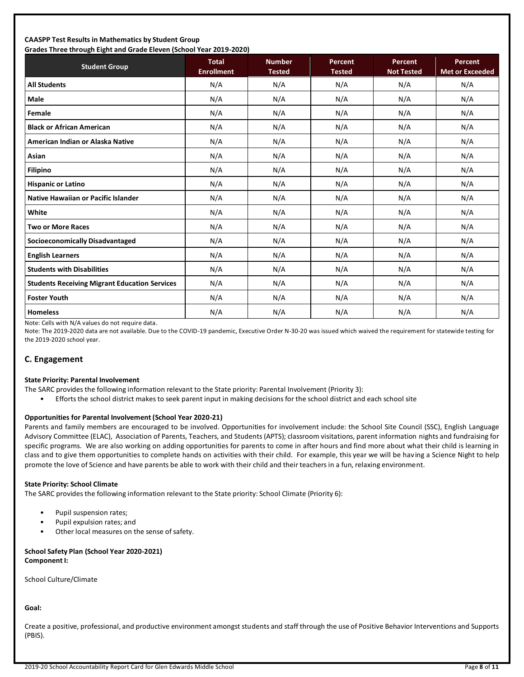#### **CAASPP Test Results in Mathematics by Student Group Grades Three through Eight and Grade Eleven (School Year 2019-2020)**

| Grades Trifee through Eight and Grade Eleven (Schoor fear 2015-2020)<br><b>Student Group</b> | <b>Total</b><br><b>Enrollment</b> | <b>Number</b><br><b>Tested</b> | Percent<br><b>Tested</b> | Percent<br><b>Not Tested</b> | Percent<br><b>Met or Exceeded</b> |
|----------------------------------------------------------------------------------------------|-----------------------------------|--------------------------------|--------------------------|------------------------------|-----------------------------------|
| <b>All Students</b>                                                                          | N/A                               | N/A                            | N/A                      | N/A                          | N/A                               |
| <b>Male</b>                                                                                  | N/A                               | N/A                            | N/A                      | N/A                          | N/A                               |
| Female                                                                                       | N/A                               | N/A                            | N/A                      | N/A                          | N/A                               |
| <b>Black or African American</b>                                                             | N/A                               | N/A                            | N/A                      | N/A                          | N/A                               |
| American Indian or Alaska Native                                                             | N/A                               | N/A                            | N/A                      | N/A                          | N/A                               |
| Asian                                                                                        | N/A                               | N/A                            | N/A                      | N/A                          | N/A                               |
| <b>Filipino</b>                                                                              | N/A                               | N/A                            | N/A                      | N/A                          | N/A                               |
| <b>Hispanic or Latino</b>                                                                    | N/A                               | N/A                            | N/A                      | N/A                          | N/A                               |
| <b>Native Hawaiian or Pacific Islander</b>                                                   | N/A                               | N/A                            | N/A                      | N/A                          | N/A                               |
| White                                                                                        | N/A                               | N/A                            | N/A                      | N/A                          | N/A                               |
| <b>Two or More Races</b>                                                                     | N/A                               | N/A                            | N/A                      | N/A                          | N/A                               |
| <b>Socioeconomically Disadvantaged</b>                                                       | N/A                               | N/A                            | N/A                      | N/A                          | N/A                               |
| <b>English Learners</b>                                                                      | N/A                               | N/A                            | N/A                      | N/A                          | N/A                               |
| <b>Students with Disabilities</b>                                                            | N/A                               | N/A                            | N/A                      | N/A                          | N/A                               |
| <b>Students Receiving Migrant Education Services</b>                                         | N/A                               | N/A                            | N/A                      | N/A                          | N/A                               |
| <b>Foster Youth</b>                                                                          | N/A                               | N/A                            | N/A                      | N/A                          | N/A                               |
| <b>Homeless</b>                                                                              | N/A                               | N/A                            | N/A                      | N/A                          | N/A                               |

Note: Cells with N/A values do not require data.

Note: The 2019-2020 data are not available. Due to the COVID-19 pandemic, Executive Order N-30-20 was issued which waived the requirement for statewide testing for the 2019-2020 school year.

## **C. Engagement**

#### **State Priority: Parental Involvement**

- The SARC provides the following information relevant to the State priority: Parental Involvement (Priority 3):
	- Efforts the school district makes to seek parent input in making decisions for the school district and each school site

#### **Opportunities for Parental Involvement (School Year 2020-21)**

Parents and family members are encouraged to be involved. Opportunities for involvement include: the School Site Council (SSC), English Language Advisory Committee (ELAC), Association of Parents, Teachers, and Students (APTS); classroom visitations, parent information nights and fundraising for specific programs. We are also working on adding opportunities for parents to come in after hours and find more about what their child is learning in class and to give them opportunities to complete hands on activities with their child. For example, this year we will be having a Science Night to help promote the love of Science and have parents be able to work with their child and their teachers in a fun, relaxing environment.

#### **State Priority: School Climate**

The SARC provides the following information relevant to the State priority: School Climate (Priority 6):

- Pupil suspension rates;
- Pupil expulsion rates; and
- Other local measures on the sense of safety.

## **School Safety Plan (School Year 2020-2021) Component I:**

School Culture/Climate

**Goal:**

Create a positive, professional, and productive environment amongst students and staff through the use of Positive Behavior Interventions and Supports (PBIS).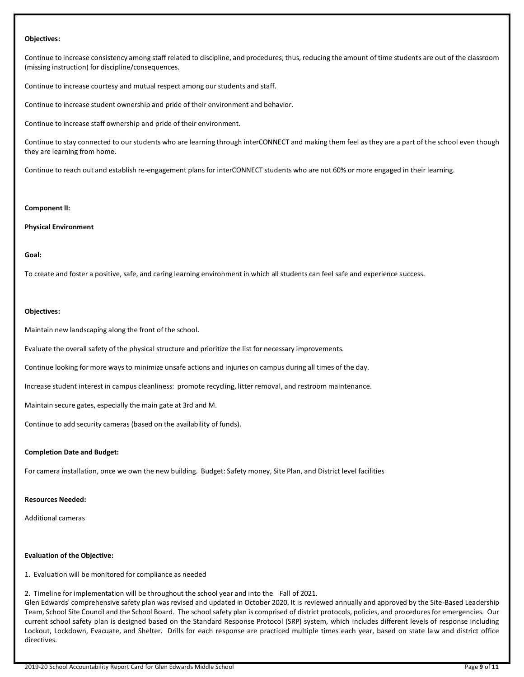#### **Objectives:**

Continue to increase consistency among staff related to discipline, and procedures; thus, reducing the amount of time students are out of the classroom (missing instruction) for discipline/consequences.

Continue to increase courtesy and mutual respect among our students and staff.

Continue to increase student ownership and pride of their environment and behavior.

Continue to increase staff ownership and pride of their environment.

Continue to stay connected to our students who are learning through interCONNECT and making them feel as they are a part of the school even though they are learning from home.

Continue to reach out and establish re-engagement plans for interCONNECT students who are not 60% or more engaged in their learning.

#### **Component II:**

#### **Physical Environment**

#### **Goal:**

To create and foster a positive, safe, and caring learning environment in which all students can feel safe and experience success.

#### **Objectives:**

Maintain new landscaping along the front of the school.

Evaluate the overall safety of the physical structure and prioritize the list for necessary improvements.

Continue looking for more ways to minimize unsafe actions and injuries on campus during all times of the day.

Increase student interest in campus cleanliness: promote recycling, litter removal, and restroom maintenance.

Maintain secure gates, especially the main gate at 3rd and M.

Continue to add security cameras (based on the availability of funds).

#### **Completion Date and Budget:**

For camera installation, once we own the new building. Budget: Safety money, Site Plan, and District level facilities

#### **Resources Needed:**

Additional cameras

#### **Evaluation of the Objective:**

1. Evaluation will be monitored for compliance as needed

2. Timeline for implementation will be throughout the school year and into the Fall of 2021.

Glen Edwards' comprehensive safety plan was revised and updated in October 2020. It is reviewed annually and approved by the Site-Based Leadership Team, School Site Council and the School Board. The school safety plan is comprised of district protocols, policies, and procedures for emergencies. Our current school safety plan is designed based on the Standard Response Protocol (SRP) system, which includes different levels of response including Lockout, Lockdown, Evacuate, and Shelter. Drills for each response are practiced multiple times each year, based on state law and district office directives.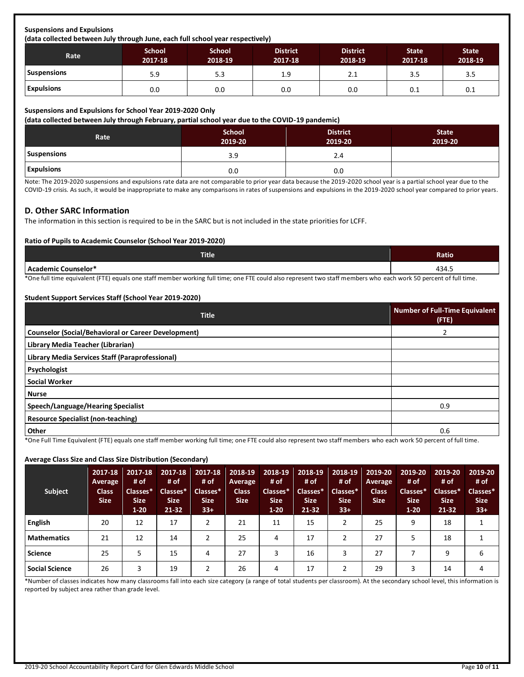# **Suspensions and Expulsions**

**(data collected between July through June, each full school year respectively)**

| Rate               | <b>School</b><br>2017-18 | <b>School</b><br>2018-19 | <b>District</b><br>2017-18 | <b>District</b><br>2018-19 | <b>State</b><br>2017-18 | <b>State</b><br>2018-19 |  |  |
|--------------------|--------------------------|--------------------------|----------------------------|----------------------------|-------------------------|-------------------------|--|--|
| <b>Suspensions</b> | 5.9                      | 5.3                      | 1.9                        | 2.1                        | 3.5                     | 3.5                     |  |  |
| <b>Expulsions</b>  | 0.0                      | 0.0                      | 0.0                        | 0.0                        | 0.1                     | 0.1                     |  |  |

#### **Suspensions and Expulsions for School Year 2019-2020 Only**

**(data collected between July through February, partial school year due to the COVID-19 pandemic)**

| Rate               | <b>School</b><br>2019-20 | <b>District</b><br>2019-20 | <b>State</b><br>2019-20 |
|--------------------|--------------------------|----------------------------|-------------------------|
| <b>Suspensions</b> | 3.9                      | 2.4                        |                         |
| <b>Expulsions</b>  | 0.0                      | 0.0                        |                         |

Note: The 2019-2020 suspensions and expulsions rate data are not comparable to prior year data because the 2019-2020 school year is a partial school year due to the COVID-19 crisis. As such, it would be inappropriate to make any comparisons in rates of suspensions and expulsions in the 2019-2020 school year compared to prior years.

#### **D. Other SARC Information**

The information in this section is required to be in the SARC but is not included in the state priorities for LCFF.

#### **Ratio of Pupils to Academic Counselor (School Year 2019-2020)**

| <b>Title</b>                                                                                                                                                     | Ratio |  |  |  |
|------------------------------------------------------------------------------------------------------------------------------------------------------------------|-------|--|--|--|
| l Academic Counselor*                                                                                                                                            | 434.5 |  |  |  |
| *One full time equivalent (FTE) equals one staff member working full time; one FTE could also represent two staff members who each work 50 percent of full time. |       |  |  |  |

#### **Student Support Services Staff (School Year 2019-2020)**

| <b>Title</b>                                               | <b>Number of Full-Time Equivalent</b><br>$($ FTE $)$ |
|------------------------------------------------------------|------------------------------------------------------|
| <b>Counselor (Social/Behavioral or Career Development)</b> | 2                                                    |
| Library Media Teacher (Librarian)                          |                                                      |
| Library Media Services Staff (Paraprofessional)            |                                                      |
| Psychologist                                               |                                                      |
| <b>Social Worker</b>                                       |                                                      |
| <b>Nurse</b>                                               |                                                      |
| Speech/Language/Hearing Specialist                         | 0.9                                                  |
| <b>Resource Specialist (non-teaching)</b>                  |                                                      |
| Other                                                      | 0.6                                                  |

\*One Full Time Equivalent (FTE) equals one staff member working full time; one FTE could also represent two staff members who each work 50 percent of full time.

#### **Average Class Size and Class Size Distribution (Secondary)**

| <b>Subject</b>        | 2017-18<br><b>Average</b><br><b>Class</b><br><b>Size</b> | 2017-18<br># of<br>Classes*<br><b>Size</b><br>$1-20$ | 2017-18<br># of<br>Classes*<br><b>Size</b><br>21-32 | 2017-18<br># of<br>Classes*<br>Size.<br>$33+$ | 2018-19<br><b>Average</b><br><b>Class</b><br><b>Size</b> | 2018-19<br># of<br>Classes*<br><b>Size</b><br>$1-20$ | 2018-19<br># of<br>Classes*<br><b>Size</b><br>21-32 | 2018-19<br># of<br>Classes*<br><b>Size</b><br>$33+$ | 2019-20<br><b>Average</b><br><b>Class</b><br><b>Size</b> | 2019-20<br># of<br>Classes*<br><b>Size</b><br>$1 - 20$ | 2019-20<br># of<br>Classes*<br><b>Size</b><br>21-32 | 2019-20<br># of<br>Classes*<br><b>Size</b><br>$33+$ |
|-----------------------|----------------------------------------------------------|------------------------------------------------------|-----------------------------------------------------|-----------------------------------------------|----------------------------------------------------------|------------------------------------------------------|-----------------------------------------------------|-----------------------------------------------------|----------------------------------------------------------|--------------------------------------------------------|-----------------------------------------------------|-----------------------------------------------------|
| <b>English</b>        | 20                                                       | 12                                                   | 17                                                  |                                               | 21                                                       | 11                                                   | 15                                                  | 2                                                   | 25                                                       | 9                                                      | 18                                                  |                                                     |
| <b>Mathematics</b>    | 21                                                       | 12                                                   | 14                                                  |                                               | 25                                                       | 4                                                    | 17                                                  |                                                     | 27                                                       |                                                        | 18                                                  |                                                     |
| <b>Science</b>        | 25                                                       |                                                      | 15                                                  | 4                                             | 27                                                       | 3                                                    | 16                                                  | 3                                                   | 27                                                       |                                                        | 9                                                   | 6                                                   |
| <b>Social Science</b> | 26                                                       |                                                      | 19                                                  |                                               | 26                                                       | 4                                                    | 17                                                  | 2                                                   | 29                                                       | 3                                                      | 14                                                  | 4                                                   |

\*Number of classes indicates how many classrooms fall into each size category (a range of total students per classroom). At the secondary school level, this information is reported by subject area rather than grade level.